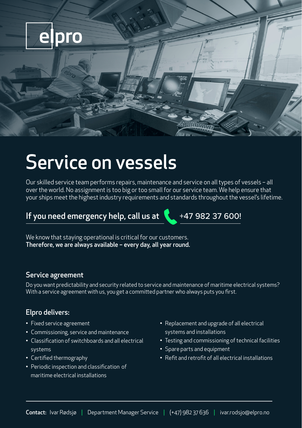

## Service on vessels

Our skilled service team performs repairs, maintenance and service on all types of vessels – all over the world. No assignment is too big or too small for our service team. We help ensure that your ships meet the highest industry requirements and standards throughout the vessel's lifetime.

## If you need emergency help, call us at  $\sqrt{1 + 47}$  982 37 600!

We know that staying operational is critical for our customers. Therefore, we are always available – every day, all year round.

#### Service agreement

Do you want predictability and security related to service and maintenance of maritime electrical systems? With a service agreement with us, you get a committed partner who always puts you first.

### Elpro delivers:

- Fixed service agreement
- Commissioning, service and maintenance
- Classification of switchboards and all electrical systems
- Certified thermography
- Periodic inspection and classification of maritime electrical installations
- Replacement and upgrade of all electrical systems and installations
- Testing and commissioning of technical facilities
- Spare parts and equipment
- Refit and retrofit of all electrical installations